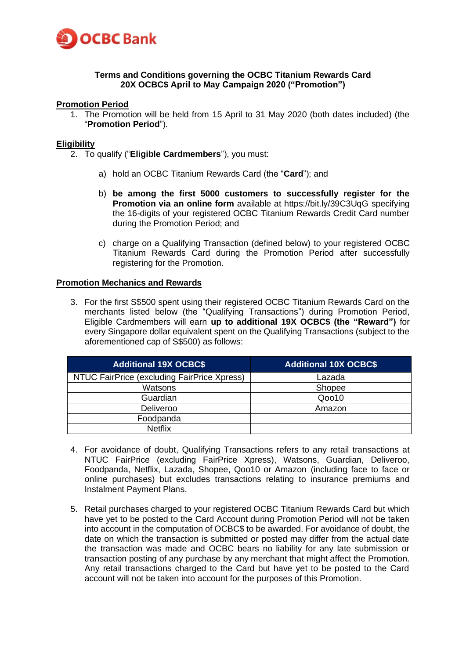

## **Terms and Conditions governing the OCBC Titanium Rewards Card 20X OCBC\$ April to May Campaign 2020 ("Promotion")**

### **Promotion Period**

1. The Promotion will be held from 15 April to 31 May 2020 (both dates included) (the "**Promotion Period**").

### **Eligibility**

- 2. To qualify ("**Eligible Cardmembers**"), you must:
	- a) hold an OCBC Titanium Rewards Card (the "**Card**"); and
	- b) **be among the first 5000 customers to successfully register for the Promotion via an online form** available at https://bit.ly/39C3UqG specifying the 16-digits of your registered OCBC Titanium Rewards Credit Card number during the Promotion Period; and
	- c) charge on a Qualifying Transaction (defined below) to your registered OCBC Titanium Rewards Card during the Promotion Period after successfully registering for the Promotion.

#### **Promotion Mechanics and Rewards**

3. For the first S\$500 spent using their registered OCBC Titanium Rewards Card on the merchants listed below (the "Qualifying Transactions") during Promotion Period, Eligible Cardmembers will earn **up to additional 19X OCBC\$ (the "Reward")** for every Singapore dollar equivalent spent on the Qualifying Transactions (subject to the aforementioned cap of S\$500) as follows:

| <b>Additional 19X OCBC\$</b>                | <b>Additional 10X OCBC\$</b> |  |
|---------------------------------------------|------------------------------|--|
| NTUC FairPrice (excluding FairPrice Xpress) | Lazada                       |  |
| Watsons                                     | Shopee                       |  |
| Guardian                                    | Qoo10                        |  |
| Deliveroo                                   | Amazon                       |  |
| Foodpanda                                   |                              |  |
| <b>Netflix</b>                              |                              |  |

- 4. For avoidance of doubt, Qualifying Transactions refers to any retail transactions at NTUC FairPrice (excluding FairPrice Xpress), Watsons, Guardian, Deliveroo, Foodpanda, Netflix, Lazada, Shopee, Qoo10 or Amazon (including face to face or online purchases) but excludes transactions relating to insurance premiums and Instalment Payment Plans.
- 5. Retail purchases charged to your registered OCBC Titanium Rewards Card but which have yet to be posted to the Card Account during Promotion Period will not be taken into account in the computation of OCBC\$ to be awarded. For avoidance of doubt, the date on which the transaction is submitted or posted may differ from the actual date the transaction was made and OCBC bears no liability for any late submission or transaction posting of any purchase by any merchant that might affect the Promotion. Any retail transactions charged to the Card but have yet to be posted to the Card account will not be taken into account for the purposes of this Promotion.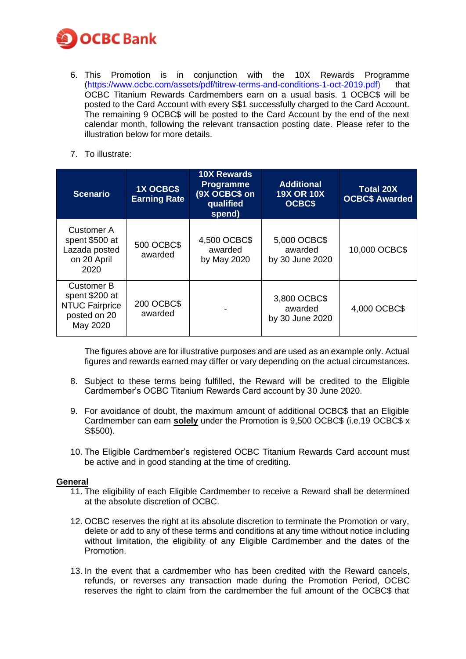

- 6. This Promotion is in conjunction with the 10X Rewards Programme [\(https://www.ocbc.com/assets/pdf/titrew-terms-and-conditions-1-oct-2019.pdf\)](https://www.ocbc.com/assets/pdf/titrew-terms-and-conditions-1-oct-2019.pdf) that OCBC Titanium Rewards Cardmembers earn on a usual basis. 1 OCBC\$ will be posted to the Card Account with every S\$1 successfully charged to the Card Account. The remaining 9 OCBC\$ will be posted to the Card Account by the end of the next calendar month, following the relevant transaction posting date. Please refer to the illustration below for more details.
- 7. To illustrate:

| <b>Scenario</b>                                                                          | <b>1X OCBCS</b><br><b>Earning Rate</b> | <b>10X Rewards</b><br><b>Programme</b><br>(9X OCBC\$ on<br>qualified<br>spend) | <b>Additional</b><br><b>19X OR 10X</b><br><b>OCBC\$</b> | <b>Total 20X</b><br><b>OCBC\$ Awarded</b> |
|------------------------------------------------------------------------------------------|----------------------------------------|--------------------------------------------------------------------------------|---------------------------------------------------------|-------------------------------------------|
| Customer A<br>spent \$500 at<br>Lazada posted<br>on 20 April<br>2020                     | <b>500 OCBC\$</b><br>awarded           | 4,500 OCBC\$<br>awarded<br>by May 2020                                         | 5,000 OCBC\$<br>awarded<br>by 30 June 2020              | 10,000 OCBC\$                             |
| <b>Customer B</b><br>spent \$200 at<br><b>NTUC Fairprice</b><br>posted on 20<br>May 2020 | 200 OCBC\$<br>awarded                  |                                                                                | 3,800 OCBC\$<br>awarded<br>by 30 June 2020              | 4,000 OCBC\$                              |

The figures above are for illustrative purposes and are used as an example only. Actual figures and rewards earned may differ or vary depending on the actual circumstances.

- 8. Subject to these terms being fulfilled, the Reward will be credited to the Eligible Cardmember's OCBC Titanium Rewards Card account by 30 June 2020.
- 9. For avoidance of doubt, the maximum amount of additional OCBC\$ that an Eligible Cardmember can earn **solely** under the Promotion is 9,500 OCBC\$ (i.e.19 OCBC\$ x S\$500).
- 10. The Eligible Cardmember's registered OCBC Titanium Rewards Card account must be active and in good standing at the time of crediting.

# **General**

- 11. The eligibility of each Eligible Cardmember to receive a Reward shall be determined at the absolute discretion of OCBC.
- 12. OCBC reserves the right at its absolute discretion to terminate the Promotion or vary, delete or add to any of these terms and conditions at any time without notice including without limitation, the eligibility of any Eligible Cardmember and the dates of the Promotion.
- 13. In the event that a cardmember who has been credited with the Reward cancels, refunds, or reverses any transaction made during the Promotion Period, OCBC reserves the right to claim from the cardmember the full amount of the OCBC\$ that